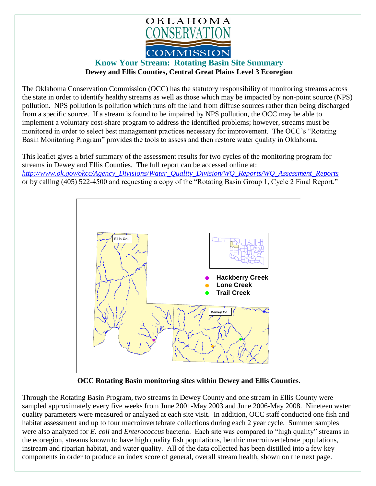

## **Know Your Stream: Rotating Basin Site Summary Dewey and Ellis Counties, Central Great Plains Level 3 Ecoregion**

The Oklahoma Conservation Commission (OCC) has the statutory responsibility of monitoring streams across the state in order to identify healthy streams as well as those which may be impacted by non-point source (NPS) pollution. NPS pollution is pollution which runs off the land from diffuse sources rather than being discharged from a specific source. If a stream is found to be impaired by NPS pollution, the OCC may be able to implement a voluntary cost-share program to address the identified problems; however, streams must be monitored in order to select best management practices necessary for improvement. The OCC's "Rotating Basin Monitoring Program" provides the tools to assess and then restore water quality in Oklahoma.

This leaflet gives a brief summary of the assessment results for two cycles of the monitoring program for streams in Dewey and Ellis Counties. The full report can be accessed online at: *[http://www.ok.gov/okcc/Agency\\_Divisions/Water\\_Quality\\_Division/WQ\\_Reports/WQ\\_Assessment\\_Reports](http://www.ok.gov/okcc/Agency_Divisions/Water_Quality_Division/WQ_Reports/WQ_Assessment_Reports)* or by calling (405) 522-4500 and requesting a copy of the "Rotating Basin Group 1, Cycle 2 Final Report."



 **OCC Rotating Basin monitoring sites within Dewey and Ellis Counties.**

Through the Rotating Basin Program, two streams in Dewey County and one stream in Ellis County were sampled approximately every five weeks from June 2001-May 2003 and June 2006-May 2008. Nineteen water quality parameters were measured or analyzed at each site visit. In addition, OCC staff conducted one fish and habitat assessment and up to four macroinvertebrate collections during each 2 year cycle. Summer samples were also analyzed for *E. coli* and *Enterococcus* bacteria. Each site was compared to "high quality" streams in the ecoregion, streams known to have high quality fish populations, benthic macroinvertebrate populations, instream and riparian habitat, and water quality. All of the data collected has been distilled into a few key components in order to produce an index score of general, overall stream health, shown on the next page.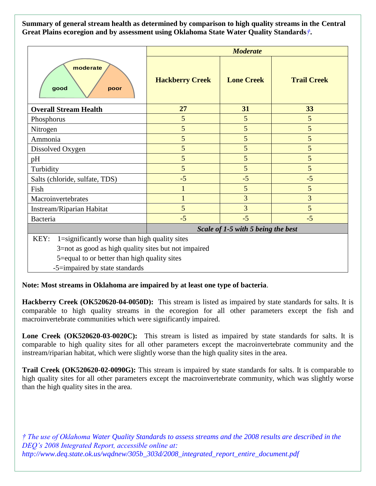**Summary of general stream health as determined by comparison to high quality streams in the Central Great Plains ecoregion and by assessment using Oklahoma State Water Quality Standards***†***.**

|                                                       | <b>Moderate</b>                    |                   |                    |
|-------------------------------------------------------|------------------------------------|-------------------|--------------------|
| moderate<br>good<br>poor                              | <b>Hackberry Creek</b>             | <b>Lone Creek</b> | <b>Trail Creek</b> |
| <b>Overall Stream Health</b>                          | 27                                 | 31                | 33                 |
| Phosphorus                                            | 5                                  | $5\overline{)}$   | $5\overline{)}$    |
| Nitrogen                                              | 5                                  | 5                 | 5                  |
| Ammonia                                               | 5                                  | 5                 | 5                  |
| Dissolved Oxygen                                      | 5                                  | 5                 | 5                  |
| pH                                                    | 5                                  | 5                 | 5                  |
| Turbidity                                             | 5                                  | 5                 | 5                  |
| Salts (chloride, sulfate, TDS)                        | $-5$                               | $-5$              | $-5$               |
| Fish                                                  | $\mathbf{1}$                       | 5                 | $5\overline{)}$    |
| Macroinvertebrates                                    | $\mathbf{1}$                       | 3                 | $\overline{3}$     |
| Instream/Riparian Habitat                             | 5                                  | 3                 | 5                  |
| Bacteria                                              | $-5$                               | $-5$              | $-5$               |
|                                                       | Scale of 1-5 with 5 being the best |                   |                    |
| 1=significantly worse than high quality sites<br>KEY: |                                    |                   |                    |
| 3=not as good as high quality sites but not impaired  |                                    |                   |                    |
| 5=equal to or better than high quality sites          |                                    |                   |                    |
| -5=impaired by state standards                        |                                    |                   |                    |

**Note: Most streams in Oklahoma are impaired by at least one type of bacteria**.

**Hackberry Creek (OK520620-04-0050D):** This stream is listed as impaired by state standards for salts. It is comparable to high quality streams in the ecoregion for all other parameters except the fish and macroinvertebrate communities which were significantly impaired.

**Lone Creek (OK520620-03-0020C):** This stream is listed as impaired by state standards for salts. It is comparable to high quality sites for all other parameters except the macroinvertebrate community and the instream/riparian habitat, which were slightly worse than the high quality sites in the area.

**Trail Creek (OK520620-02-0090G):** This stream is impaired by state standards for salts. It is comparable to high quality sites for all other parameters except the macroinvertebrate community, which was slightly worse than the high quality sites in the area.

*† The use of Oklahoma Water Quality Standards to assess streams and the 2008 results are described in the DEQ's 2008 Integrated Report, accessible online at: http://www.deq.state.ok.us/wqdnew/305b\_303d/2008\_integrated\_report\_entire\_document.pdf*